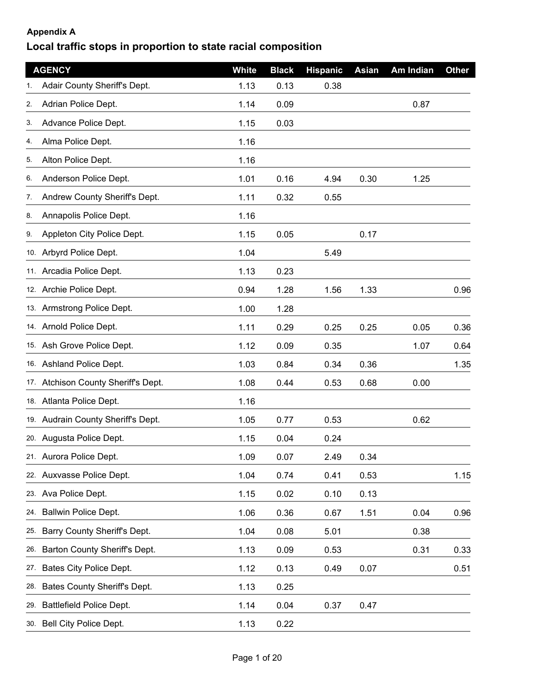## **Appendix A**

## **Local traffic stops in proportion to state racial composition**

|     | <b>AGENCY</b>                       | White | <b>Black</b> | <b>Hispanic</b> | Asian | Am Indian | <b>Other</b> |
|-----|-------------------------------------|-------|--------------|-----------------|-------|-----------|--------------|
| 1.  | Adair County Sheriff's Dept.        | 1.13  | 0.13         | 0.38            |       |           |              |
| 2.  | Adrian Police Dept.                 | 1.14  | 0.09         |                 |       | 0.87      |              |
| 3.  | Advance Police Dept.                | 1.15  | 0.03         |                 |       |           |              |
| 4.  | Alma Police Dept.                   | 1.16  |              |                 |       |           |              |
| 5.  | Alton Police Dept.                  | 1.16  |              |                 |       |           |              |
| 6.  | Anderson Police Dept.               | 1.01  | 0.16         | 4.94            | 0.30  | 1.25      |              |
| 7.  | Andrew County Sheriff's Dept.       | 1.11  | 0.32         | 0.55            |       |           |              |
| 8.  | Annapolis Police Dept.              | 1.16  |              |                 |       |           |              |
| 9.  | Appleton City Police Dept.          | 1.15  | 0.05         |                 | 0.17  |           |              |
|     | 10. Arbyrd Police Dept.             | 1.04  |              | 5.49            |       |           |              |
|     | 11. Arcadia Police Dept.            | 1.13  | 0.23         |                 |       |           |              |
|     | 12. Archie Police Dept.             | 0.94  | 1.28         | 1.56            | 1.33  |           | 0.96         |
|     | 13. Armstrong Police Dept.          | 1.00  | 1.28         |                 |       |           |              |
|     | 14. Arnold Police Dept.             | 1.11  | 0.29         | 0.25            | 0.25  | 0.05      | 0.36         |
|     | 15. Ash Grove Police Dept.          | 1.12  | 0.09         | 0.35            |       | 1.07      | 0.64         |
|     | 16. Ashland Police Dept.            | 1.03  | 0.84         | 0.34            | 0.36  |           | 1.35         |
|     | 17. Atchison County Sheriff's Dept. | 1.08  | 0.44         | 0.53            | 0.68  | 0.00      |              |
|     | 18. Atlanta Police Dept.            | 1.16  |              |                 |       |           |              |
|     | 19. Audrain County Sheriff's Dept.  | 1.05  | 0.77         | 0.53            |       | 0.62      |              |
|     | 20. Augusta Police Dept.            | 1.15  | 0.04         | 0.24            |       |           |              |
|     | 21. Aurora Police Dept.             | 1.09  | 0.07         | 2.49            | 0.34  |           |              |
|     | 22. Auxvasse Police Dept.           | 1.04  | 0.74         | 0.41            | 0.53  |           | 1.15         |
|     | 23. Ava Police Dept.                | 1.15  | 0.02         | 0.10            | 0.13  |           |              |
|     | 24. Ballwin Police Dept.            | 1.06  | 0.36         | 0.67            | 1.51  | 0.04      | 0.96         |
| 25. | Barry County Sheriff's Dept.        | 1.04  | 0.08         | 5.01            |       | 0.38      |              |
|     | 26. Barton County Sheriff's Dept.   | 1.13  | 0.09         | 0.53            |       | 0.31      | 0.33         |
|     | 27. Bates City Police Dept.         | 1.12  | 0.13         | 0.49            | 0.07  |           | 0.51         |
| 28. | Bates County Sheriff's Dept.        | 1.13  | 0.25         |                 |       |           |              |
|     | 29. Battlefield Police Dept.        | 1.14  | 0.04         | 0.37            | 0.47  |           |              |
|     | 30. Bell City Police Dept.          | 1.13  | 0.22         |                 |       |           |              |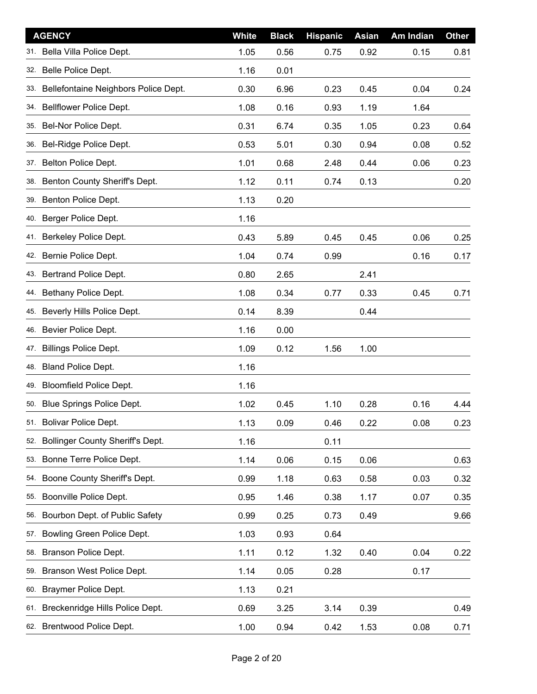| <b>AGENCY</b>                               | <b>White</b> | <b>Black</b> | <b>Hispanic</b> | <b>Asian</b> | Am Indian | <b>Other</b> |
|---------------------------------------------|--------------|--------------|-----------------|--------------|-----------|--------------|
| Bella Villa Police Dept.<br>31.             | 1.05         | 0.56         | 0.75            | 0.92         | 0.15      | 0.81         |
| 32. Belle Police Dept.                      | 1.16         | 0.01         |                 |              |           |              |
| Bellefontaine Neighbors Police Dept.<br>33. | 0.30         | 6.96         | 0.23            | 0.45         | 0.04      | 0.24         |
| 34. Bellflower Police Dept.                 | 1.08         | 0.16         | 0.93            | 1.19         | 1.64      |              |
| 35. Bel-Nor Police Dept.                    | 0.31         | 6.74         | 0.35            | 1.05         | 0.23      | 0.64         |
| 36. Bel-Ridge Police Dept.                  | 0.53         | 5.01         | 0.30            | 0.94         | 0.08      | 0.52         |
| 37. Belton Police Dept.                     | 1.01         | 0.68         | 2.48            | 0.44         | 0.06      | 0.23         |
| 38. Benton County Sheriff's Dept.           | 1.12         | 0.11         | 0.74            | 0.13         |           | 0.20         |
| 39. Benton Police Dept.                     | 1.13         | 0.20         |                 |              |           |              |
| 40. Berger Police Dept.                     | 1.16         |              |                 |              |           |              |
| 41. Berkeley Police Dept.                   | 0.43         | 5.89         | 0.45            | 0.45         | 0.06      | 0.25         |
| 42. Bernie Police Dept.                     | 1.04         | 0.74         | 0.99            |              | 0.16      | 0.17         |
| 43. Bertrand Police Dept.                   | 0.80         | 2.65         |                 | 2.41         |           |              |
| 44. Bethany Police Dept.                    | 1.08         | 0.34         | 0.77            | 0.33         | 0.45      | 0.71         |
| 45. Beverly Hills Police Dept.              | 0.14         | 8.39         |                 | 0.44         |           |              |
| Bevier Police Dept.<br>46.                  | 1.16         | 0.00         |                 |              |           |              |
| 47. Billings Police Dept.                   | 1.09         | 0.12         | 1.56            | 1.00         |           |              |
| <b>Bland Police Dept.</b><br>48.            | 1.16         |              |                 |              |           |              |
| 49. Bloomfield Police Dept.                 | 1.16         |              |                 |              |           |              |
| 50. Blue Springs Police Dept.               | 1.02         | 0.45         | 1.10            | 0.28         | 0.16      | 4.44         |
| 51. Bolivar Police Dept.                    | 1.13         | 0.09         | 0.46            | 0.22         | 0.08      | 0.23         |
| Bollinger County Sheriff's Dept.<br>52.     | 1.16         |              | 0.11            |              |           |              |
| Bonne Terre Police Dept.<br>53.             | 1.14         | 0.06         | 0.15            | 0.06         |           | 0.63         |
| 54. Boone County Sheriff's Dept.            | 0.99         | 1.18         | 0.63            | 0.58         | 0.03      | 0.32         |
| 55. Boonville Police Dept.                  | 0.95         | 1.46         | 0.38            | 1.17         | 0.07      | 0.35         |
| 56. Bourbon Dept. of Public Safety          | 0.99         | 0.25         | 0.73            | 0.49         |           | 9.66         |
| Bowling Green Police Dept.<br>57.           | 1.03         | 0.93         | 0.64            |              |           |              |
| 58. Branson Police Dept.                    | 1.11         | 0.12         | 1.32            | 0.40         | 0.04      | 0.22         |
| 59. Branson West Police Dept.               | 1.14         | 0.05         | 0.28            |              | 0.17      |              |
| 60. Braymer Police Dept.                    | 1.13         | 0.21         |                 |              |           |              |
| 61. Breckenridge Hills Police Dept.         | 0.69         | 3.25         | 3.14            | 0.39         |           | 0.49         |
| 62. Brentwood Police Dept.                  | 1.00         | 0.94         | 0.42            | 1.53         | 0.08      | 0.71         |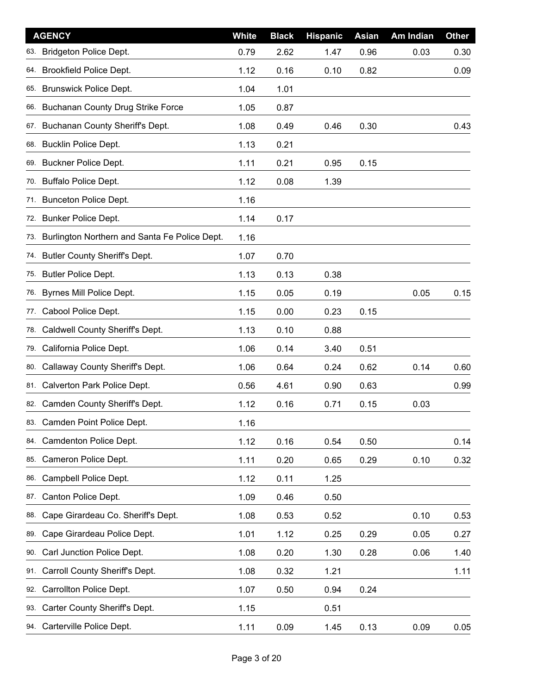| <b>AGENCY</b>                                        | <b>White</b> | <b>Black</b> | <b>Hispanic</b> | <b>Asian</b> | Am Indian | <b>Other</b> |
|------------------------------------------------------|--------------|--------------|-----------------|--------------|-----------|--------------|
| <b>Bridgeton Police Dept.</b><br>63.                 | 0.79         | 2.62         | 1.47            | 0.96         | 0.03      | 0.30         |
| <b>Brookfield Police Dept.</b><br>64.                | 1.12         | 0.16         | 0.10            | 0.82         |           | 0.09         |
| <b>Brunswick Police Dept.</b><br>65.                 | 1.04         | 1.01         |                 |              |           |              |
| 66. Buchanan County Drug Strike Force                | 1.05         | 0.87         |                 |              |           |              |
| Buchanan County Sheriff's Dept.<br>67.               | 1.08         | 0.49         | 0.46            | 0.30         |           | 0.43         |
| 68. Bucklin Police Dept.                             | 1.13         | 0.21         |                 |              |           |              |
| Buckner Police Dept.<br>69.                          | 1.11         | 0.21         | 0.95            | 0.15         |           |              |
| 70. Buffalo Police Dept.                             | 1.12         | 0.08         | 1.39            |              |           |              |
| <b>Bunceton Police Dept.</b><br>71.                  | 1.16         |              |                 |              |           |              |
| 72. Bunker Police Dept.                              | 1.14         | 0.17         |                 |              |           |              |
| Burlington Northern and Santa Fe Police Dept.<br>73. | 1.16         |              |                 |              |           |              |
| <b>Butler County Sheriff's Dept.</b><br>74.          | 1.07         | 0.70         |                 |              |           |              |
| <b>Butler Police Dept.</b><br>75.                    | 1.13         | 0.13         | 0.38            |              |           |              |
| Byrnes Mill Police Dept.<br>76.                      | 1.15         | 0.05         | 0.19            |              | 0.05      | 0.15         |
| Cabool Police Dept.<br>77.                           | 1.15         | 0.00         | 0.23            | 0.15         |           |              |
| Caldwell County Sheriff's Dept.<br>78.               | 1.13         | 0.10         | 0.88            |              |           |              |
| California Police Dept.<br>79.                       | 1.06         | 0.14         | 3.40            | 0.51         |           |              |
| Callaway County Sheriff's Dept.<br>80.               | 1.06         | 0.64         | 0.24            | 0.62         | 0.14      | 0.60         |
| 81. Calverton Park Police Dept.                      | 0.56         | 4.61         | 0.90            | 0.63         |           | 0.99         |
| Camden County Sheriff's Dept.<br>82.                 | 1.12         | 0.16         | 0.71            | 0.15         | 0.03      |              |
| 83. Camden Point Police Dept.                        | 1.16         |              |                 |              |           |              |
| Camdenton Police Dept.<br>84.                        | 1.12         | 0.16         | 0.54            | 0.50         |           | 0.14         |
| Cameron Police Dept.<br>85.                          | 1.11         | 0.20         | 0.65            | 0.29         | 0.10      | 0.32         |
| Campbell Police Dept.<br>86.                         | 1.12         | 0.11         | 1.25            |              |           |              |
| Canton Police Dept.<br>87.                           | 1.09         | 0.46         | 0.50            |              |           |              |
| Cape Girardeau Co. Sheriff's Dept.<br>88.            | 1.08         | 0.53         | 0.52            |              | 0.10      | 0.53         |
| Cape Girardeau Police Dept.<br>89.                   | 1.01         | 1.12         | 0.25            | 0.29         | 0.05      | 0.27         |
| Carl Junction Police Dept.<br>90.                    | 1.08         | 0.20         | 1.30            | 0.28         | 0.06      | 1.40         |
| Carroll County Sheriff's Dept.<br>91.                | 1.08         | 0.32         | 1.21            |              |           | 1.11         |
| Carrollton Police Dept.<br>92.                       | 1.07         | 0.50         | 0.94            | 0.24         |           |              |
| Carter County Sheriff's Dept.<br>93.                 | 1.15         |              | 0.51            |              |           |              |
| 94. Carterville Police Dept.                         | 1.11         | 0.09         | 1.45            | 0.13         | 0.09      | $0.05\,$     |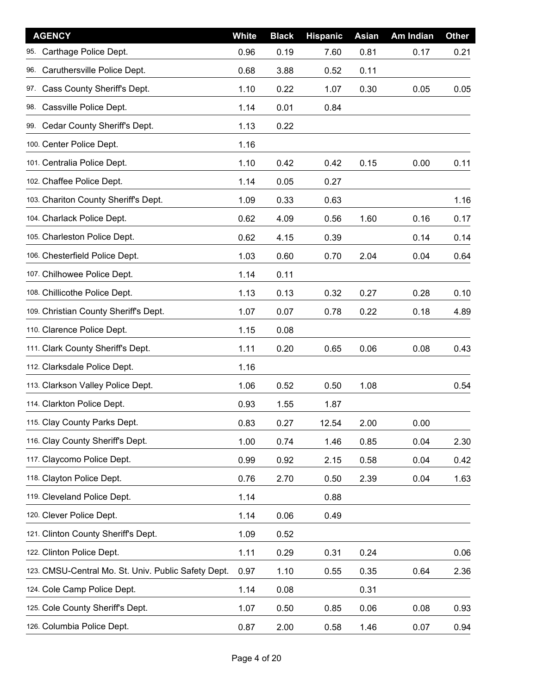| <b>AGENCY</b>                                       | White | <b>Black</b> | <b>Hispanic</b> | <b>Asian</b> | Am Indian | <b>Other</b> |
|-----------------------------------------------------|-------|--------------|-----------------|--------------|-----------|--------------|
| Carthage Police Dept.<br>95.                        | 0.96  | 0.19         | 7.60            | 0.81         | 0.17      | 0.21         |
| Caruthersville Police Dept.<br>96.                  | 0.68  | 3.88         | 0.52            | 0.11         |           |              |
| Cass County Sheriff's Dept.<br>97.                  | 1.10  | 0.22         | 1.07            | 0.30         | 0.05      | 0.05         |
| 98. Cassville Police Dept.                          | 1.14  | 0.01         | 0.84            |              |           |              |
| 99. Cedar County Sheriff's Dept.                    | 1.13  | 0.22         |                 |              |           |              |
| 100. Center Police Dept.                            | 1.16  |              |                 |              |           |              |
| 101. Centralia Police Dept.                         | 1.10  | 0.42         | 0.42            | 0.15         | 0.00      | 0.11         |
| 102. Chaffee Police Dept.                           | 1.14  | 0.05         | 0.27            |              |           |              |
| 103. Chariton County Sheriff's Dept.                | 1.09  | 0.33         | 0.63            |              |           | 1.16         |
| 104. Charlack Police Dept.                          | 0.62  | 4.09         | 0.56            | 1.60         | 0.16      | 0.17         |
| 105. Charleston Police Dept.                        | 0.62  | 4.15         | 0.39            |              | 0.14      | 0.14         |
| 106. Chesterfield Police Dept.                      | 1.03  | 0.60         | 0.70            | 2.04         | 0.04      | 0.64         |
| 107. Chilhowee Police Dept.                         | 1.14  | 0.11         |                 |              |           |              |
| 108. Chillicothe Police Dept.                       | 1.13  | 0.13         | 0.32            | 0.27         | 0.28      | 0.10         |
| 109. Christian County Sheriff's Dept.               | 1.07  | 0.07         | 0.78            | 0.22         | 0.18      | 4.89         |
| 110. Clarence Police Dept.                          | 1.15  | 0.08         |                 |              |           |              |
| 111. Clark County Sheriff's Dept.                   | 1.11  | 0.20         | 0.65            | 0.06         | 0.08      | 0.43         |
| 112. Clarksdale Police Dept.                        | 1.16  |              |                 |              |           |              |
| 113. Clarkson Valley Police Dept.                   | 1.06  | 0.52         | 0.50            | 1.08         |           | 0.54         |
| 114. Clarkton Police Dept.                          | 0.93  | 1.55         | 1.87            |              |           |              |
| 115. Clay County Parks Dept.                        | 0.83  | 0.27         | 12.54           | 2.00         | 0.00      |              |
| 116. Clay County Sheriff's Dept.                    | 1.00  | 0.74         | 1.46            | 0.85         | 0.04      | 2.30         |
| 117. Claycomo Police Dept.                          | 0.99  | 0.92         | 2.15            | 0.58         | 0.04      | 0.42         |
| 118. Clayton Police Dept.                           | 0.76  | 2.70         | 0.50            | 2.39         | 0.04      | 1.63         |
| 119. Cleveland Police Dept.                         | 1.14  |              | 0.88            |              |           |              |
| 120. Clever Police Dept.                            | 1.14  | 0.06         | 0.49            |              |           |              |
| 121. Clinton County Sheriff's Dept.                 | 1.09  | 0.52         |                 |              |           |              |
| 122. Clinton Police Dept.                           | 1.11  | 0.29         | 0.31            | 0.24         |           | 0.06         |
| 123. CMSU-Central Mo. St. Univ. Public Safety Dept. | 0.97  | 1.10         | 0.55            | 0.35         | 0.64      | 2.36         |
| 124. Cole Camp Police Dept.                         | 1.14  | 0.08         |                 | 0.31         |           |              |
| 125. Cole County Sheriff's Dept.                    | 1.07  | 0.50         | 0.85            | 0.06         | 0.08      | 0.93         |
| 126. Columbia Police Dept.                          | 0.87  | 2.00         | 0.58            | 1.46         | 0.07      | 0.94         |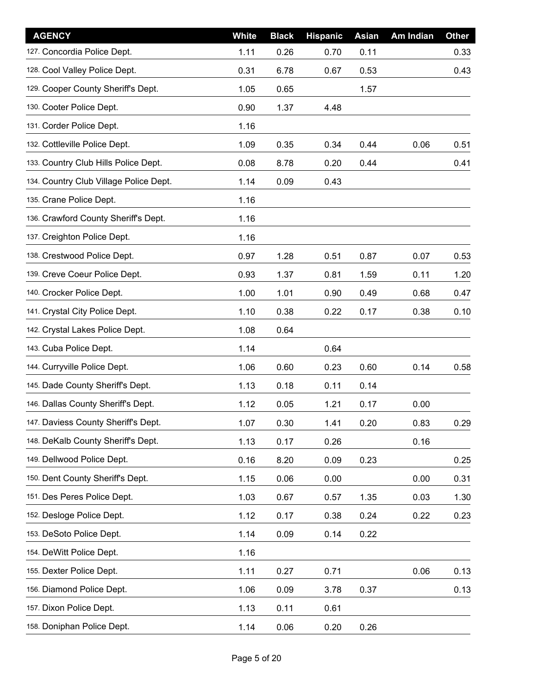| <b>AGENCY</b>                          | <b>White</b> | <b>Black</b> | <b>Hispanic</b> | <b>Asian</b> | <b>Am Indian</b> | <b>Other</b> |
|----------------------------------------|--------------|--------------|-----------------|--------------|------------------|--------------|
| 127. Concordia Police Dept.            | 1.11         | 0.26         | 0.70            | 0.11         |                  | 0.33         |
| 128. Cool Valley Police Dept.          | 0.31         | 6.78         | 0.67            | 0.53         |                  | 0.43         |
| 129. Cooper County Sheriff's Dept.     | 1.05         | 0.65         |                 | 1.57         |                  |              |
| 130. Cooter Police Dept.               | 0.90         | 1.37         | 4.48            |              |                  |              |
| 131. Corder Police Dept.               | 1.16         |              |                 |              |                  |              |
| 132. Cottleville Police Dept.          | 1.09         | 0.35         | 0.34            | 0.44         | 0.06             | 0.51         |
| 133. Country Club Hills Police Dept.   | 0.08         | 8.78         | 0.20            | 0.44         |                  | 0.41         |
| 134. Country Club Village Police Dept. | 1.14         | 0.09         | 0.43            |              |                  |              |
| 135. Crane Police Dept.                | 1.16         |              |                 |              |                  |              |
| 136. Crawford County Sheriff's Dept.   | 1.16         |              |                 |              |                  |              |
| 137. Creighton Police Dept.            | 1.16         |              |                 |              |                  |              |
| 138. Crestwood Police Dept.            | 0.97         | 1.28         | 0.51            | 0.87         | 0.07             | 0.53         |
| 139. Creve Coeur Police Dept.          | 0.93         | 1.37         | 0.81            | 1.59         | 0.11             | 1.20         |
| 140. Crocker Police Dept.              | 1.00         | 1.01         | 0.90            | 0.49         | 0.68             | 0.47         |
| 141. Crystal City Police Dept.         | 1.10         | 0.38         | 0.22            | 0.17         | 0.38             | 0.10         |
| 142. Crystal Lakes Police Dept.        | 1.08         | 0.64         |                 |              |                  |              |
| 143. Cuba Police Dept.                 | 1.14         |              | 0.64            |              |                  |              |
| 144. Curryville Police Dept.           | 1.06         | 0.60         | 0.23            | 0.60         | 0.14             | 0.58         |
| 145. Dade County Sheriff's Dept.       | 1.13         | 0.18         | 0.11            | 0.14         |                  |              |
| 146. Dallas County Sheriff's Dept.     | 1.12         | 0.05         | 1.21            | 0.17         | 0.00             |              |
| 147. Daviess County Sheriff's Dept.    | 1.07         | 0.30         | 1.41            | 0.20         | 0.83             | 0.29         |
| 148. DeKalb County Sheriff's Dept.     | 1.13         | 0.17         | 0.26            |              | 0.16             |              |
| 149. Dellwood Police Dept.             | 0.16         | 8.20         | 0.09            | 0.23         |                  | 0.25         |
| 150. Dent County Sheriff's Dept.       | 1.15         | 0.06         | 0.00            |              | 0.00             | 0.31         |
| 151. Des Peres Police Dept.            | 1.03         | 0.67         | 0.57            | 1.35         | 0.03             | 1.30         |
| 152. Desloge Police Dept.              | 1.12         | 0.17         | 0.38            | 0.24         | 0.22             | 0.23         |
| 153. DeSoto Police Dept.               | 1.14         | 0.09         | 0.14            | 0.22         |                  |              |
| 154. DeWitt Police Dept.               | 1.16         |              |                 |              |                  |              |
| 155. Dexter Police Dept.               | 1.11         | 0.27         | 0.71            |              | 0.06             | 0.13         |
| 156. Diamond Police Dept.              | 1.06         | 0.09         | 3.78            | 0.37         |                  | 0.13         |
| 157. Dixon Police Dept.                | 1.13         | 0.11         | 0.61            |              |                  |              |
| 158. Doniphan Police Dept.             | 1.14         | 0.06         | 0.20            | 0.26         |                  |              |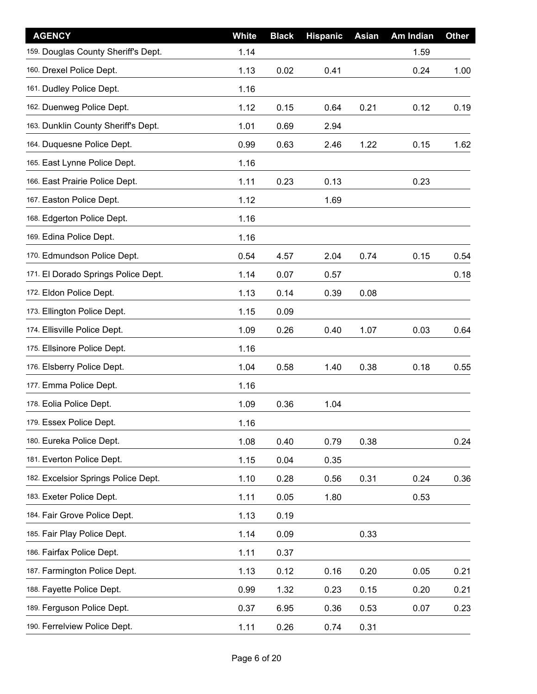| <b>AGENCY</b>                       | <b>White</b> | <b>Black</b> | <b>Hispanic</b> | <b>Asian</b> | Am Indian | <b>Other</b> |
|-------------------------------------|--------------|--------------|-----------------|--------------|-----------|--------------|
| 159. Douglas County Sheriff's Dept. | 1.14         |              |                 |              | 1.59      |              |
| 160. Drexel Police Dept.            | 1.13         | 0.02         | 0.41            |              | 0.24      | 1.00         |
| 161. Dudley Police Dept.            | 1.16         |              |                 |              |           |              |
| 162. Duenweg Police Dept.           | 1.12         | 0.15         | 0.64            | 0.21         | 0.12      | 0.19         |
| 163. Dunklin County Sheriff's Dept. | 1.01         | 0.69         | 2.94            |              |           |              |
| 164. Duquesne Police Dept.          | 0.99         | 0.63         | 2.46            | 1.22         | 0.15      | 1.62         |
| 165. East Lynne Police Dept.        | 1.16         |              |                 |              |           |              |
| 166. East Prairie Police Dept.      | 1.11         | 0.23         | 0.13            |              | 0.23      |              |
| 167. Easton Police Dept.            | 1.12         |              | 1.69            |              |           |              |
| 168. Edgerton Police Dept.          | 1.16         |              |                 |              |           |              |
| 169. Edina Police Dept.             | 1.16         |              |                 |              |           |              |
| 170. Edmundson Police Dept.         | 0.54         | 4.57         | 2.04            | 0.74         | 0.15      | 0.54         |
| 171. El Dorado Springs Police Dept. | 1.14         | 0.07         | 0.57            |              |           | 0.18         |
| 172. Eldon Police Dept.             | 1.13         | 0.14         | 0.39            | 0.08         |           |              |
| 173. Ellington Police Dept.         | 1.15         | 0.09         |                 |              |           |              |
| 174. Ellisville Police Dept.        | 1.09         | 0.26         | 0.40            | 1.07         | 0.03      | 0.64         |
| 175. Ellsinore Police Dept.         | 1.16         |              |                 |              |           |              |
| 176. Elsberry Police Dept.          | 1.04         | 0.58         | 1.40            | 0.38         | 0.18      | 0.55         |
| 177. Emma Police Dept.              | 1.16         |              |                 |              |           |              |
| 178. Eolia Police Dept.             | 1.09         | 0.36         | 1.04            |              |           |              |
| 179. Essex Police Dept.             | 1.16         |              |                 |              |           |              |
| 180. Eureka Police Dept.            | 1.08         | 0.40         | 0.79            | 0.38         |           | 0.24         |
| 181. Everton Police Dept.           | 1.15         | 0.04         | 0.35            |              |           |              |
| 182. Excelsior Springs Police Dept. | 1.10         | 0.28         | 0.56            | 0.31         | 0.24      | 0.36         |
| 183. Exeter Police Dept.            | 1.11         | 0.05         | 1.80            |              | 0.53      |              |
| 184. Fair Grove Police Dept.        | 1.13         | 0.19         |                 |              |           |              |
| 185. Fair Play Police Dept.         | 1.14         | 0.09         |                 | 0.33         |           |              |
| 186. Fairfax Police Dept.           | 1.11         | 0.37         |                 |              |           |              |
| 187. Farmington Police Dept.        | 1.13         | 0.12         | 0.16            | 0.20         | 0.05      | 0.21         |
| 188. Fayette Police Dept.           | 0.99         | 1.32         | 0.23            | 0.15         | 0.20      | 0.21         |
| 189. Ferguson Police Dept.          | 0.37         | 6.95         | 0.36            | 0.53         | 0.07      | 0.23         |
| 190. Ferrelview Police Dept.        | 1.11         | 0.26         | 0.74            | 0.31         |           |              |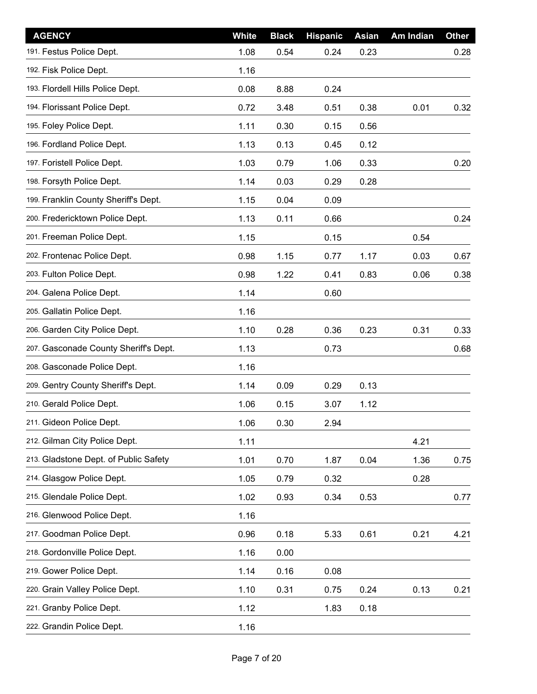| <b>AGENCY</b>                         | <b>White</b> | <b>Black</b> | <b>Hispanic</b> | <b>Asian</b> | Am Indian | <b>Other</b> |
|---------------------------------------|--------------|--------------|-----------------|--------------|-----------|--------------|
| 191. Festus Police Dept.              | 1.08         | 0.54         | 0.24            | 0.23         |           | 0.28         |
| 192. Fisk Police Dept.                | 1.16         |              |                 |              |           |              |
| 193. Flordell Hills Police Dept.      | 0.08         | 8.88         | 0.24            |              |           |              |
| 194. Florissant Police Dept.          | 0.72         | 3.48         | 0.51            | 0.38         | 0.01      | 0.32         |
| 195. Foley Police Dept.               | 1.11         | 0.30         | 0.15            | 0.56         |           |              |
| 196. Fordland Police Dept.            | 1.13         | 0.13         | 0.45            | 0.12         |           |              |
| 197. Foristell Police Dept.           | 1.03         | 0.79         | 1.06            | 0.33         |           | 0.20         |
| 198. Forsyth Police Dept.             | 1.14         | 0.03         | 0.29            | 0.28         |           |              |
| 199. Franklin County Sheriff's Dept.  | 1.15         | 0.04         | 0.09            |              |           |              |
| 200. Fredericktown Police Dept.       | 1.13         | 0.11         | 0.66            |              |           | 0.24         |
| 201. Freeman Police Dept.             | 1.15         |              | 0.15            |              | 0.54      |              |
| 202. Frontenac Police Dept.           | 0.98         | 1.15         | 0.77            | 1.17         | 0.03      | 0.67         |
| 203. Fulton Police Dept.              | 0.98         | 1.22         | 0.41            | 0.83         | 0.06      | 0.38         |
| 204. Galena Police Dept.              | 1.14         |              | 0.60            |              |           |              |
| 205. Gallatin Police Dept.            | 1.16         |              |                 |              |           |              |
| 206. Garden City Police Dept.         | 1.10         | 0.28         | 0.36            | 0.23         | 0.31      | 0.33         |
| 207. Gasconade County Sheriff's Dept. | 1.13         |              | 0.73            |              |           | 0.68         |
| 208. Gasconade Police Dept.           | 1.16         |              |                 |              |           |              |
| 209. Gentry County Sheriff's Dept.    | 1.14         | 0.09         | 0.29            | 0.13         |           |              |
| 210. Gerald Police Dept.              | 1.06         | 0.15         | 3.07            | 1.12         |           |              |
| 211. Gideon Police Dept.              | 1.06         | 0.30         | 2.94            |              |           |              |
| 212. Gilman City Police Dept.         | 1.11         |              |                 |              | 4.21      |              |
| 213. Gladstone Dept. of Public Safety | 1.01         | 0.70         | 1.87            | 0.04         | 1.36      | 0.75         |
| 214. Glasgow Police Dept.             | 1.05         | 0.79         | 0.32            |              | 0.28      |              |
| 215. Glendale Police Dept.            | 1.02         | 0.93         | 0.34            | 0.53         |           | 0.77         |
| 216. Glenwood Police Dept.            | 1.16         |              |                 |              |           |              |
| 217. Goodman Police Dept.             | 0.96         | 0.18         | 5.33            | 0.61         | 0.21      | 4.21         |
| 218. Gordonville Police Dept.         | 1.16         | 0.00         |                 |              |           |              |
| 219. Gower Police Dept.               | 1.14         | 0.16         | 0.08            |              |           |              |
| 220. Grain Valley Police Dept.        | 1.10         | 0.31         | 0.75            | 0.24         | 0.13      | 0.21         |
| 221. Granby Police Dept.              | 1.12         |              | 1.83            | 0.18         |           |              |
| 222. Grandin Police Dept.             | 1.16         |              |                 |              |           |              |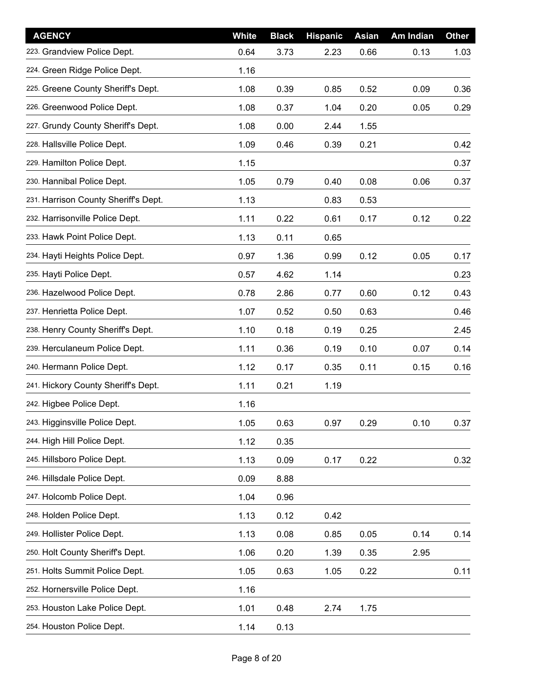| <b>AGENCY</b>                        | White | <b>Black</b> | <b>Hispanic</b> | <b>Asian</b> | Am Indian | <b>Other</b> |
|--------------------------------------|-------|--------------|-----------------|--------------|-----------|--------------|
| 223. Grandview Police Dept.          | 0.64  | 3.73         | 2.23            | 0.66         | 0.13      | 1.03         |
| 224. Green Ridge Police Dept.        | 1.16  |              |                 |              |           |              |
| 225. Greene County Sheriff's Dept.   | 1.08  | 0.39         | 0.85            | 0.52         | 0.09      | 0.36         |
| 226. Greenwood Police Dept.          | 1.08  | 0.37         | 1.04            | 0.20         | 0.05      | 0.29         |
| 227. Grundy County Sheriff's Dept.   | 1.08  | 0.00         | 2.44            | 1.55         |           |              |
| 228. Hallsville Police Dept.         | 1.09  | 0.46         | 0.39            | 0.21         |           | 0.42         |
| 229. Hamilton Police Dept.           | 1.15  |              |                 |              |           | 0.37         |
| 230. Hannibal Police Dept.           | 1.05  | 0.79         | 0.40            | 0.08         | 0.06      | 0.37         |
| 231. Harrison County Sheriff's Dept. | 1.13  |              | 0.83            | 0.53         |           |              |
| 232. Harrisonville Police Dept.      | 1.11  | 0.22         | 0.61            | 0.17         | 0.12      | 0.22         |
| 233. Hawk Point Police Dept.         | 1.13  | 0.11         | 0.65            |              |           |              |
| 234. Hayti Heights Police Dept.      | 0.97  | 1.36         | 0.99            | 0.12         | 0.05      | 0.17         |
| 235. Hayti Police Dept.              | 0.57  | 4.62         | 1.14            |              |           | 0.23         |
| 236. Hazelwood Police Dept.          | 0.78  | 2.86         | 0.77            | 0.60         | 0.12      | 0.43         |
| 237. Henrietta Police Dept.          | 1.07  | 0.52         | 0.50            | 0.63         |           | 0.46         |
| 238. Henry County Sheriff's Dept.    | 1.10  | 0.18         | 0.19            | 0.25         |           | 2.45         |
| 239. Herculaneum Police Dept.        | 1.11  | 0.36         | 0.19            | 0.10         | 0.07      | 0.14         |
| 240. Hermann Police Dept.            | 1.12  | 0.17         | 0.35            | 0.11         | 0.15      | 0.16         |
| 241. Hickory County Sheriff's Dept.  | 1.11  | 0.21         | 1.19            |              |           |              |
| 242. Higbee Police Dept.             | 1.16  |              |                 |              |           |              |
| 243. Higginsville Police Dept.       | 1.05  | 0.63         | 0.97            | 0.29         | 0.10      | 0.37         |
| 244. High Hill Police Dept.          | 1.12  | 0.35         |                 |              |           |              |
| 245. Hillsboro Police Dept.          | 1.13  | 0.09         | 0.17            | 0.22         |           | 0.32         |
| 246. Hillsdale Police Dept.          | 0.09  | 8.88         |                 |              |           |              |
| 247. Holcomb Police Dept.            | 1.04  | 0.96         |                 |              |           |              |
| 248. Holden Police Dept.             | 1.13  | 0.12         | 0.42            |              |           |              |
| 249. Hollister Police Dept.          | 1.13  | 0.08         | 0.85            | 0.05         | 0.14      | 0.14         |
| 250. Holt County Sheriff's Dept.     | 1.06  | 0.20         | 1.39            | 0.35         | 2.95      |              |
| 251. Holts Summit Police Dept.       | 1.05  | 0.63         | 1.05            | 0.22         |           | 0.11         |
| 252. Hornersville Police Dept.       | 1.16  |              |                 |              |           |              |
| 253. Houston Lake Police Dept.       | 1.01  | 0.48         | 2.74            | 1.75         |           |              |
| 254. Houston Police Dept.            | 1.14  | 0.13         |                 |              |           |              |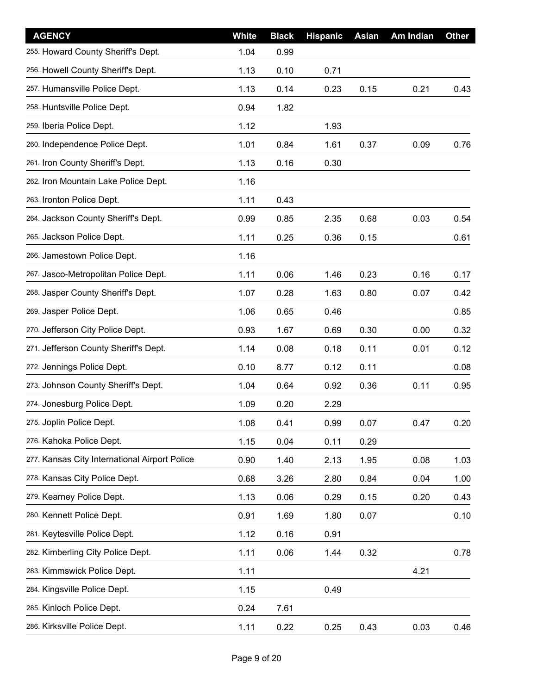| <b>AGENCY</b>                                 | <b>White</b> | <b>Black</b> | <b>Hispanic</b> | <b>Asian</b> | Am Indian | <b>Other</b> |
|-----------------------------------------------|--------------|--------------|-----------------|--------------|-----------|--------------|
| 255. Howard County Sheriff's Dept.            | 1.04         | 0.99         |                 |              |           |              |
| 256. Howell County Sheriff's Dept.            | 1.13         | 0.10         | 0.71            |              |           |              |
| 257. Humansville Police Dept.                 | 1.13         | 0.14         | 0.23            | 0.15         | 0.21      | 0.43         |
| 258. Huntsville Police Dept.                  | 0.94         | 1.82         |                 |              |           |              |
| 259. Iberia Police Dept.                      | 1.12         |              | 1.93            |              |           |              |
| 260. Independence Police Dept.                | 1.01         | 0.84         | 1.61            | 0.37         | 0.09      | 0.76         |
| 261. Iron County Sheriff's Dept.              | 1.13         | 0.16         | 0.30            |              |           |              |
| 262. Iron Mountain Lake Police Dept.          | 1.16         |              |                 |              |           |              |
| 263. Ironton Police Dept.                     | 1.11         | 0.43         |                 |              |           |              |
| 264. Jackson County Sheriff's Dept.           | 0.99         | 0.85         | 2.35            | 0.68         | 0.03      | 0.54         |
| 265. Jackson Police Dept.                     | 1.11         | 0.25         | 0.36            | 0.15         |           | 0.61         |
| 266. Jamestown Police Dept.                   | 1.16         |              |                 |              |           |              |
| 267. Jasco-Metropolitan Police Dept.          | 1.11         | 0.06         | 1.46            | 0.23         | 0.16      | 0.17         |
| 268. Jasper County Sheriff's Dept.            | 1.07         | 0.28         | 1.63            | 0.80         | 0.07      | 0.42         |
| 269. Jasper Police Dept.                      | 1.06         | 0.65         | 0.46            |              |           | 0.85         |
| 270. Jefferson City Police Dept.              | 0.93         | 1.67         | 0.69            | 0.30         | 0.00      | 0.32         |
| 271. Jefferson County Sheriff's Dept.         | 1.14         | 0.08         | 0.18            | 0.11         | 0.01      | 0.12         |
| 272. Jennings Police Dept.                    | 0.10         | 8.77         | 0.12            | 0.11         |           | 0.08         |
| 273. Johnson County Sheriff's Dept.           | 1.04         | 0.64         | 0.92            | 0.36         | 0.11      | 0.95         |
| 274. Jonesburg Police Dept.                   | 1.09         | 0.20         | 2.29            |              |           |              |
| 275. Joplin Police Dept.                      | 1.08         | 0.41         | 0.99            | 0.07         | 0.47      | 0.20         |
| 276. Kahoka Police Dept.                      | 1.15         | 0.04         | 0.11            | 0.29         |           |              |
| 277. Kansas City International Airport Police | 0.90         | 1.40         | 2.13            | 1.95         | 0.08      | 1.03         |
| 278. Kansas City Police Dept.                 | 0.68         | 3.26         | 2.80            | 0.84         | 0.04      | 1.00         |
| 279. Kearney Police Dept.                     | 1.13         | 0.06         | 0.29            | 0.15         | 0.20      | 0.43         |
| 280. Kennett Police Dept.                     | 0.91         | 1.69         | 1.80            | 0.07         |           | 0.10         |
| 281. Keytesville Police Dept.                 | 1.12         | 0.16         | 0.91            |              |           |              |
| 282. Kimberling City Police Dept.             | 1.11         | 0.06         | 1.44            | 0.32         |           | 0.78         |
| 283. Kimmswick Police Dept.                   | 1.11         |              |                 |              | 4.21      |              |
| 284. Kingsville Police Dept.                  | 1.15         |              | 0.49            |              |           |              |
| 285. Kinloch Police Dept.                     | 0.24         | 7.61         |                 |              |           |              |
| 286. Kirksville Police Dept.                  | 1.11         | 0.22         | 0.25            | 0.43         | 0.03      | 0.46         |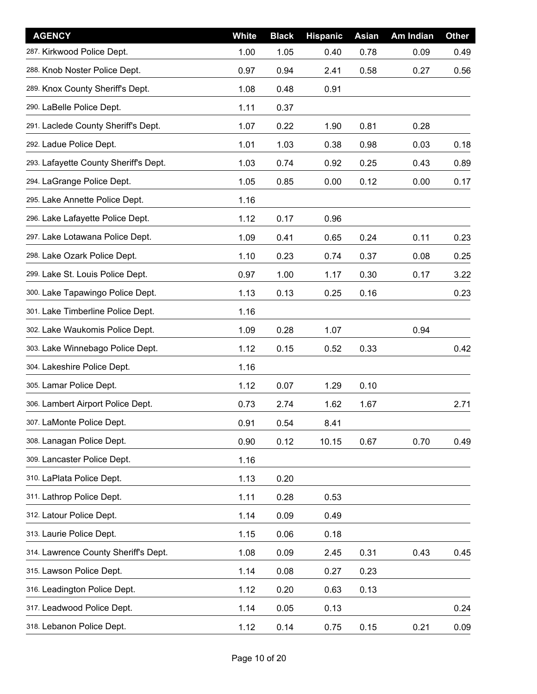| <b>AGENCY</b>                         | White | <b>Black</b> | <b>Hispanic</b> | <b>Asian</b> | <b>Am Indian</b> | <b>Other</b> |
|---------------------------------------|-------|--------------|-----------------|--------------|------------------|--------------|
| 287. Kirkwood Police Dept.            | 1.00  | 1.05         | 0.40            | 0.78         | 0.09             | 0.49         |
| 288. Knob Noster Police Dept.         | 0.97  | 0.94         | 2.41            | 0.58         | 0.27             | 0.56         |
| 289. Knox County Sheriff's Dept.      | 1.08  | 0.48         | 0.91            |              |                  |              |
| 290. LaBelle Police Dept.             | 1.11  | 0.37         |                 |              |                  |              |
| 291. Laclede County Sheriff's Dept.   | 1.07  | 0.22         | 1.90            | 0.81         | 0.28             |              |
| 292. Ladue Police Dept.               | 1.01  | 1.03         | 0.38            | 0.98         | 0.03             | 0.18         |
| 293. Lafayette County Sheriff's Dept. | 1.03  | 0.74         | 0.92            | 0.25         | 0.43             | 0.89         |
| 294. LaGrange Police Dept.            | 1.05  | 0.85         | 0.00            | 0.12         | 0.00             | 0.17         |
| 295. Lake Annette Police Dept.        | 1.16  |              |                 |              |                  |              |
| 296. Lake Lafayette Police Dept.      | 1.12  | 0.17         | 0.96            |              |                  |              |
| 297. Lake Lotawana Police Dept.       | 1.09  | 0.41         | 0.65            | 0.24         | 0.11             | 0.23         |
| 298. Lake Ozark Police Dept.          | 1.10  | 0.23         | 0.74            | 0.37         | 0.08             | 0.25         |
| 299. Lake St. Louis Police Dept.      | 0.97  | 1.00         | 1.17            | 0.30         | 0.17             | 3.22         |
| 300. Lake Tapawingo Police Dept.      | 1.13  | 0.13         | 0.25            | 0.16         |                  | 0.23         |
| 301. Lake Timberline Police Dept.     | 1.16  |              |                 |              |                  |              |
| 302. Lake Waukomis Police Dept.       | 1.09  | 0.28         | 1.07            |              | 0.94             |              |
| 303. Lake Winnebago Police Dept.      | 1.12  | 0.15         | 0.52            | 0.33         |                  | 0.42         |
| 304. Lakeshire Police Dept.           | 1.16  |              |                 |              |                  |              |
| 305. Lamar Police Dept.               | 1.12  | 0.07         | 1.29            | 0.10         |                  |              |
| 306. Lambert Airport Police Dept.     | 0.73  | 2.74         | 1.62            | 1.67         |                  | 2.71         |
| 307. LaMonte Police Dept.             | 0.91  | 0.54         | 8.41            |              |                  |              |
| 308. Lanagan Police Dept.             | 0.90  | 0.12         | 10.15           | 0.67         | 0.70             | 0.49         |
| 309. Lancaster Police Dept.           | 1.16  |              |                 |              |                  |              |
| 310. LaPlata Police Dept.             | 1.13  | 0.20         |                 |              |                  |              |
| 311. Lathrop Police Dept.             | 1.11  | 0.28         | 0.53            |              |                  |              |
| 312. Latour Police Dept.              | 1.14  | 0.09         | 0.49            |              |                  |              |
| 313. Laurie Police Dept.              | 1.15  | 0.06         | 0.18            |              |                  |              |
| 314. Lawrence County Sheriff's Dept.  | 1.08  | 0.09         | 2.45            | 0.31         | 0.43             | 0.45         |
| 315. Lawson Police Dept.              | 1.14  | 0.08         | 0.27            | 0.23         |                  |              |
| 316. Leadington Police Dept.          | 1.12  | 0.20         | 0.63            | 0.13         |                  |              |
| 317. Leadwood Police Dept.            | 1.14  | 0.05         | 0.13            |              |                  | 0.24         |
| 318. Lebanon Police Dept.             | 1.12  | 0.14         | 0.75            | 0.15         | 0.21             | 0.09         |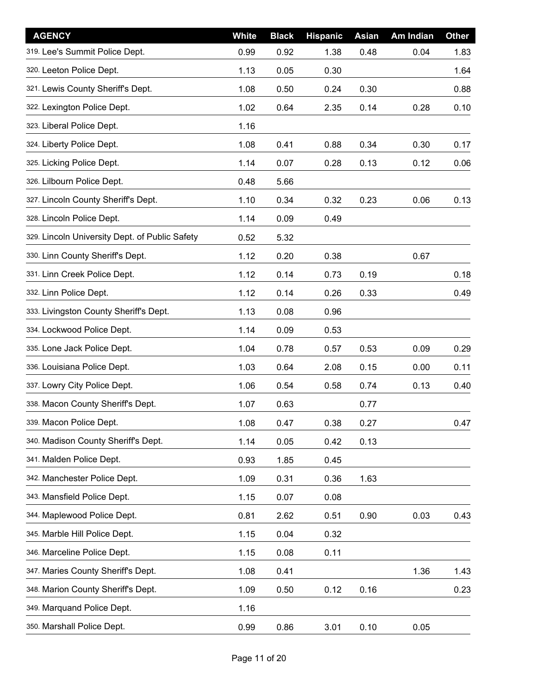| <b>AGENCY</b>                                  | <b>White</b> | <b>Black</b> | <b>Hispanic</b> | <b>Asian</b> | Am Indian | <b>Other</b> |
|------------------------------------------------|--------------|--------------|-----------------|--------------|-----------|--------------|
| 319. Lee's Summit Police Dept.                 | 0.99         | 0.92         | 1.38            | 0.48         | 0.04      | 1.83         |
| 320. Leeton Police Dept.                       | 1.13         | 0.05         | 0.30            |              |           | 1.64         |
| 321. Lewis County Sheriff's Dept.              | 1.08         | 0.50         | 0.24            | 0.30         |           | 0.88         |
| 322. Lexington Police Dept.                    | 1.02         | 0.64         | 2.35            | 0.14         | 0.28      | 0.10         |
| 323. Liberal Police Dept.                      | 1.16         |              |                 |              |           |              |
| 324. Liberty Police Dept.                      | 1.08         | 0.41         | 0.88            | 0.34         | 0.30      | 0.17         |
| 325. Licking Police Dept.                      | 1.14         | 0.07         | 0.28            | 0.13         | 0.12      | 0.06         |
| 326. Lilbourn Police Dept.                     | 0.48         | 5.66         |                 |              |           |              |
| 327. Lincoln County Sheriff's Dept.            | 1.10         | 0.34         | 0.32            | 0.23         | 0.06      | 0.13         |
| 328. Lincoln Police Dept.                      | 1.14         | 0.09         | 0.49            |              |           |              |
| 329. Lincoln University Dept. of Public Safety | 0.52         | 5.32         |                 |              |           |              |
| 330. Linn County Sheriff's Dept.               | 1.12         | 0.20         | 0.38            |              | 0.67      |              |
| 331. Linn Creek Police Dept.                   | 1.12         | 0.14         | 0.73            | 0.19         |           | 0.18         |
| 332. Linn Police Dept.                         | 1.12         | 0.14         | 0.26            | 0.33         |           | 0.49         |
| 333. Livingston County Sheriff's Dept.         | 1.13         | 0.08         | 0.96            |              |           |              |
| 334. Lockwood Police Dept.                     | 1.14         | 0.09         | 0.53            |              |           |              |
| 335. Lone Jack Police Dept.                    | 1.04         | 0.78         | 0.57            | 0.53         | 0.09      | 0.29         |
| 336. Louisiana Police Dept.                    | 1.03         | 0.64         | 2.08            | 0.15         | 0.00      | 0.11         |
| 337. Lowry City Police Dept.                   | 1.06         | 0.54         | 0.58            | 0.74         | 0.13      | 0.40         |
| 338. Macon County Sheriff's Dept.              | 1.07         | 0.63         |                 | 0.77         |           |              |
| 339. Macon Police Dept.                        | 1.08         | 0.47         | 0.38            | 0.27         |           | 0.47         |
| 340. Madison County Sheriff's Dept.            | 1.14         | 0.05         | 0.42            | 0.13         |           |              |
| 341. Malden Police Dept.                       | 0.93         | 1.85         | 0.45            |              |           |              |
| 342. Manchester Police Dept.                   | 1.09         | 0.31         | 0.36            | 1.63         |           |              |
| 343. Mansfield Police Dept.                    | 1.15         | 0.07         | 0.08            |              |           |              |
| 344. Maplewood Police Dept.                    | 0.81         | 2.62         | 0.51            | 0.90         | 0.03      | 0.43         |
| 345. Marble Hill Police Dept.                  | 1.15         | 0.04         | 0.32            |              |           |              |
| 346. Marceline Police Dept.                    | 1.15         | 0.08         | 0.11            |              |           |              |
| 347. Maries County Sheriff's Dept.             | 1.08         | 0.41         |                 |              | 1.36      | 1.43         |
| 348. Marion County Sheriff's Dept.             | 1.09         | 0.50         | 0.12            | 0.16         |           | 0.23         |
| 349. Marquand Police Dept.                     | 1.16         |              |                 |              |           |              |
| 350. Marshall Police Dept.                     | 0.99         | 0.86         | 3.01            | 0.10         | 0.05      |              |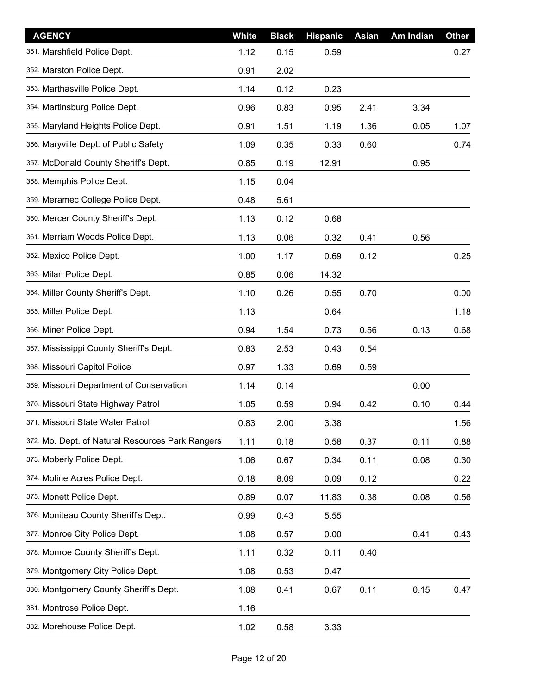| <b>AGENCY</b>                                    | <b>White</b> | <b>Black</b> | <b>Hispanic</b> | <b>Asian</b> | Am Indian | <b>Other</b> |
|--------------------------------------------------|--------------|--------------|-----------------|--------------|-----------|--------------|
| 351. Marshfield Police Dept.                     | 1.12         | 0.15         | 0.59            |              |           | 0.27         |
| 352. Marston Police Dept.                        | 0.91         | 2.02         |                 |              |           |              |
| 353. Marthasville Police Dept.                   | 1.14         | 0.12         | 0.23            |              |           |              |
| 354. Martinsburg Police Dept.                    | 0.96         | 0.83         | 0.95            | 2.41         | 3.34      |              |
| 355. Maryland Heights Police Dept.               | 0.91         | 1.51         | 1.19            | 1.36         | 0.05      | 1.07         |
| 356. Maryville Dept. of Public Safety            | 1.09         | 0.35         | 0.33            | 0.60         |           | 0.74         |
| 357. McDonald County Sheriff's Dept.             | 0.85         | 0.19         | 12.91           |              | 0.95      |              |
| 358. Memphis Police Dept.                        | 1.15         | 0.04         |                 |              |           |              |
| 359. Meramec College Police Dept.                | 0.48         | 5.61         |                 |              |           |              |
| 360. Mercer County Sheriff's Dept.               | 1.13         | 0.12         | 0.68            |              |           |              |
| 361. Merriam Woods Police Dept.                  | 1.13         | 0.06         | 0.32            | 0.41         | 0.56      |              |
| 362. Mexico Police Dept.                         | 1.00         | 1.17         | 0.69            | 0.12         |           | 0.25         |
| 363. Milan Police Dept.                          | 0.85         | 0.06         | 14.32           |              |           |              |
| 364. Miller County Sheriff's Dept.               | 1.10         | 0.26         | 0.55            | 0.70         |           | 0.00         |
| 365. Miller Police Dept.                         | 1.13         |              | 0.64            |              |           | 1.18         |
| 366. Miner Police Dept.                          | 0.94         | 1.54         | 0.73            | 0.56         | 0.13      | 0.68         |
| 367. Mississippi County Sheriff's Dept.          | 0.83         | 2.53         | 0.43            | 0.54         |           |              |
| 368. Missouri Capitol Police                     | 0.97         | 1.33         | 0.69            | 0.59         |           |              |
| 369. Missouri Department of Conservation         | 1.14         | 0.14         |                 |              | 0.00      |              |
| 370. Missouri State Highway Patrol               | 1.05         | 0.59         | 0.94            | 0.42         | 0.10      | 0.44         |
| 371. Missouri State Water Patrol                 | 0.83         | 2.00         | 3.38            |              |           | 1.56         |
| 372. Mo. Dept. of Natural Resources Park Rangers | 1.11         | 0.18         | 0.58            | 0.37         | 0.11      | 0.88         |
| 373. Moberly Police Dept.                        | 1.06         | 0.67         | 0.34            | 0.11         | 0.08      | 0.30         |
| 374. Moline Acres Police Dept.                   | 0.18         | 8.09         | 0.09            | 0.12         |           | 0.22         |
| 375. Monett Police Dept.                         | 0.89         | 0.07         | 11.83           | 0.38         | 0.08      | 0.56         |
| 376. Moniteau County Sheriff's Dept.             | 0.99         | 0.43         | 5.55            |              |           |              |
| 377. Monroe City Police Dept.                    | 1.08         | 0.57         | 0.00            |              | 0.41      | 0.43         |
| 378. Monroe County Sheriff's Dept.               | 1.11         | 0.32         | 0.11            | 0.40         |           |              |
| 379. Montgomery City Police Dept.                | 1.08         | 0.53         | 0.47            |              |           |              |
| 380. Montgomery County Sheriff's Dept.           | 1.08         | 0.41         | 0.67            | 0.11         | 0.15      | 0.47         |
| 381. Montrose Police Dept.                       | 1.16         |              |                 |              |           |              |
| 382. Morehouse Police Dept.                      | 1.02         | 0.58         | 3.33            |              |           |              |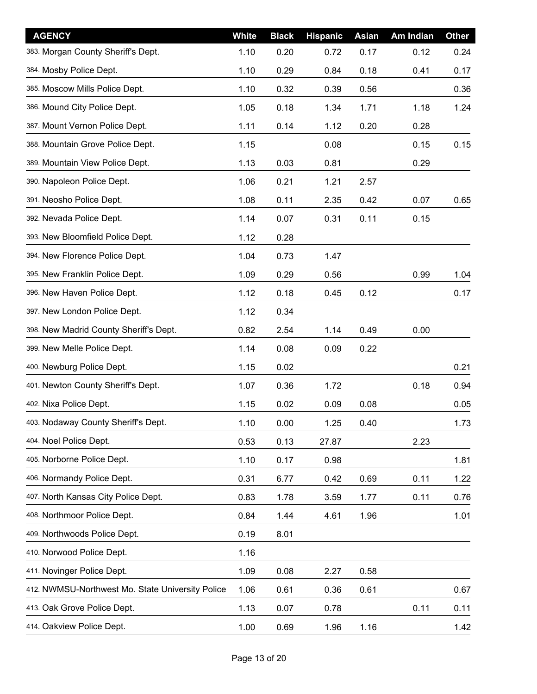| <b>AGENCY</b>                                    | White | <b>Black</b> | <b>Hispanic</b> | Asian | Am Indian | <b>Other</b> |
|--------------------------------------------------|-------|--------------|-----------------|-------|-----------|--------------|
| 383. Morgan County Sheriff's Dept.               | 1.10  | 0.20         | 0.72            | 0.17  | 0.12      | 0.24         |
| 384. Mosby Police Dept.                          | 1.10  | 0.29         | 0.84            | 0.18  | 0.41      | 0.17         |
| 385. Moscow Mills Police Dept.                   | 1.10  | 0.32         | 0.39            | 0.56  |           | 0.36         |
| 386. Mound City Police Dept.                     | 1.05  | 0.18         | 1.34            | 1.71  | 1.18      | 1.24         |
| 387. Mount Vernon Police Dept.                   | 1.11  | 0.14         | 1.12            | 0.20  | 0.28      |              |
| 388. Mountain Grove Police Dept.                 | 1.15  |              | 0.08            |       | 0.15      | 0.15         |
| 389. Mountain View Police Dept.                  | 1.13  | 0.03         | 0.81            |       | 0.29      |              |
| 390. Napoleon Police Dept.                       | 1.06  | 0.21         | 1.21            | 2.57  |           |              |
| 391. Neosho Police Dept.                         | 1.08  | 0.11         | 2.35            | 0.42  | 0.07      | 0.65         |
| 392. Nevada Police Dept.                         | 1.14  | 0.07         | 0.31            | 0.11  | 0.15      |              |
| 393. New Bloomfield Police Dept.                 | 1.12  | 0.28         |                 |       |           |              |
| 394. New Florence Police Dept.                   | 1.04  | 0.73         | 1.47            |       |           |              |
| 395. New Franklin Police Dept.                   | 1.09  | 0.29         | 0.56            |       | 0.99      | 1.04         |
| 396. New Haven Police Dept.                      | 1.12  | 0.18         | 0.45            | 0.12  |           | 0.17         |
| 397. New London Police Dept.                     | 1.12  | 0.34         |                 |       |           |              |
| 398. New Madrid County Sheriff's Dept.           | 0.82  | 2.54         | 1.14            | 0.49  | 0.00      |              |
| 399. New Melle Police Dept.                      | 1.14  | 0.08         | 0.09            | 0.22  |           |              |
| 400. Newburg Police Dept.                        | 1.15  | 0.02         |                 |       |           | 0.21         |
| 401. Newton County Sheriff's Dept.               | 1.07  | 0.36         | 1.72            |       | 0.18      | 0.94         |
| 402. Nixa Police Dept.                           | 1.15  | 0.02         | 0.09            | 0.08  |           | 0.05         |
| 403. Nodaway County Sheriff's Dept.              | 1.10  | 0.00         | 1.25            | 0.40  |           | 1.73         |
| 404. Noel Police Dept.                           | 0.53  | 0.13         | 27.87           |       | 2.23      |              |
| 405. Norborne Police Dept.                       | 1.10  | 0.17         | 0.98            |       |           | 1.81         |
| 406. Normandy Police Dept.                       | 0.31  | 6.77         | 0.42            | 0.69  | 0.11      | 1.22         |
| 407. North Kansas City Police Dept.              | 0.83  | 1.78         | 3.59            | 1.77  | 0.11      | 0.76         |
| 408. Northmoor Police Dept.                      | 0.84  | 1.44         | 4.61            | 1.96  |           | 1.01         |
| 409. Northwoods Police Dept.                     | 0.19  | 8.01         |                 |       |           |              |
| 410. Norwood Police Dept.                        | 1.16  |              |                 |       |           |              |
| 411. Novinger Police Dept.                       | 1.09  | 0.08         | 2.27            | 0.58  |           |              |
| 412. NWMSU-Northwest Mo. State University Police | 1.06  | 0.61         | 0.36            | 0.61  |           | 0.67         |
| 413. Oak Grove Police Dept.                      | 1.13  | 0.07         | 0.78            |       | 0.11      | 0.11         |
| 414. Oakview Police Dept.                        | 1.00  | 0.69         | 1.96            | 1.16  |           | 1.42         |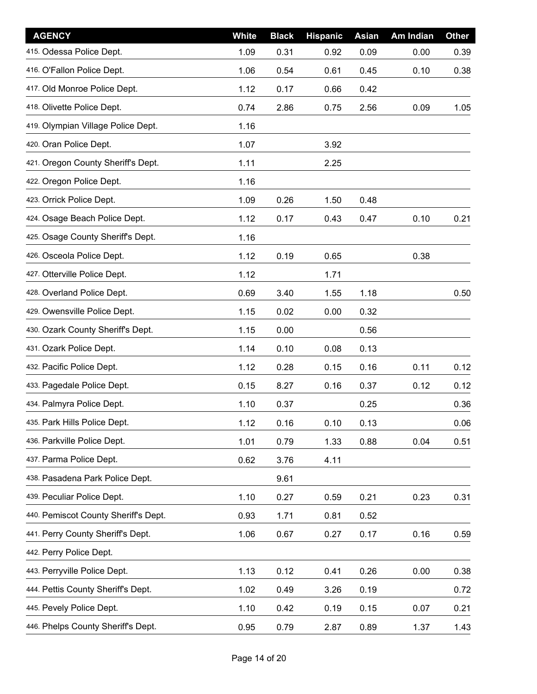| <b>AGENCY</b>                        | <b>White</b> | <b>Black</b> | <b>Hispanic</b> | Asian | Am Indian | <b>Other</b> |
|--------------------------------------|--------------|--------------|-----------------|-------|-----------|--------------|
| 415. Odessa Police Dept.             | 1.09         | 0.31         | 0.92            | 0.09  | 0.00      | 0.39         |
| 416. O'Fallon Police Dept.           | 1.06         | 0.54         | 0.61            | 0.45  | 0.10      | 0.38         |
| 417. Old Monroe Police Dept.         | 1.12         | 0.17         | 0.66            | 0.42  |           |              |
| 418. Olivette Police Dept.           | 0.74         | 2.86         | 0.75            | 2.56  | 0.09      | 1.05         |
| 419. Olympian Village Police Dept.   | 1.16         |              |                 |       |           |              |
| 420. Oran Police Dept.               | 1.07         |              | 3.92            |       |           |              |
| 421. Oregon County Sheriff's Dept.   | 1.11         |              | 2.25            |       |           |              |
| 422. Oregon Police Dept.             | 1.16         |              |                 |       |           |              |
| 423. Orrick Police Dept.             | 1.09         | 0.26         | 1.50            | 0.48  |           |              |
| 424. Osage Beach Police Dept.        | 1.12         | 0.17         | 0.43            | 0.47  | 0.10      | 0.21         |
| 425. Osage County Sheriff's Dept.    | 1.16         |              |                 |       |           |              |
| 426. Osceola Police Dept.            | 1.12         | 0.19         | 0.65            |       | 0.38      |              |
| 427. Otterville Police Dept.         | 1.12         |              | 1.71            |       |           |              |
| 428. Overland Police Dept.           | 0.69         | 3.40         | 1.55            | 1.18  |           | 0.50         |
| 429. Owensville Police Dept.         | 1.15         | 0.02         | 0.00            | 0.32  |           |              |
| 430. Ozark County Sheriff's Dept.    | 1.15         | 0.00         |                 | 0.56  |           |              |
| 431. Ozark Police Dept.              | 1.14         | 0.10         | 0.08            | 0.13  |           |              |
| 432. Pacific Police Dept.            | 1.12         | 0.28         | 0.15            | 0.16  | 0.11      | 0.12         |
| 433. Pagedale Police Dept.           | 0.15         | 8.27         | 0.16            | 0.37  | 0.12      | 0.12         |
| 434. Palmyra Police Dept.            | 1.10         | 0.37         |                 | 0.25  |           | 0.36         |
| 435. Park Hills Police Dept.         | 1.12         | 0.16         | 0.10            | 0.13  |           | 0.06         |
| 436. Parkville Police Dept.          | 1.01         | 0.79         | 1.33            | 0.88  | 0.04      | 0.51         |
| 437. Parma Police Dept.              | 0.62         | 3.76         | 4.11            |       |           |              |
| 438. Pasadena Park Police Dept.      |              | 9.61         |                 |       |           |              |
| 439. Peculiar Police Dept.           | 1.10         | 0.27         | 0.59            | 0.21  | 0.23      | 0.31         |
| 440. Pemiscot County Sheriff's Dept. | 0.93         | 1.71         | 0.81            | 0.52  |           |              |
| 441. Perry County Sheriff's Dept.    | 1.06         | 0.67         | 0.27            | 0.17  | 0.16      | 0.59         |
| 442. Perry Police Dept.              |              |              |                 |       |           |              |
| 443. Perryville Police Dept.         | 1.13         | 0.12         | 0.41            | 0.26  | 0.00      | 0.38         |
| 444. Pettis County Sheriff's Dept.   | 1.02         | 0.49         | 3.26            | 0.19  |           | 0.72         |
| 445. Pevely Police Dept.             | 1.10         | 0.42         | 0.19            | 0.15  | 0.07      | 0.21         |
| 446. Phelps County Sheriff's Dept.   | 0.95         | 0.79         | 2.87            | 0.89  | 1.37      | 1.43         |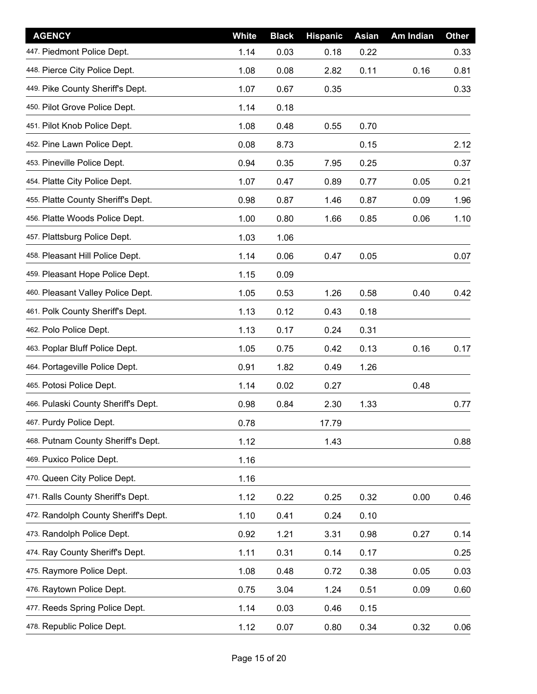| <b>AGENCY</b>                        | <b>White</b> | <b>Black</b> | <b>Hispanic</b> | Asian | Am Indian | <b>Other</b> |
|--------------------------------------|--------------|--------------|-----------------|-------|-----------|--------------|
| 447. Piedmont Police Dept.           | 1.14         | 0.03         | 0.18            | 0.22  |           | 0.33         |
| 448. Pierce City Police Dept.        | 1.08         | 0.08         | 2.82            | 0.11  | 0.16      | 0.81         |
| 449. Pike County Sheriff's Dept.     | 1.07         | 0.67         | 0.35            |       |           | 0.33         |
| 450. Pilot Grove Police Dept.        | 1.14         | 0.18         |                 |       |           |              |
| 451. Pilot Knob Police Dept.         | 1.08         | 0.48         | 0.55            | 0.70  |           |              |
| 452. Pine Lawn Police Dept.          | 0.08         | 8.73         |                 | 0.15  |           | 2.12         |
| 453. Pineville Police Dept.          | 0.94         | 0.35         | 7.95            | 0.25  |           | 0.37         |
| 454. Platte City Police Dept.        | 1.07         | 0.47         | 0.89            | 0.77  | 0.05      | 0.21         |
| 455. Platte County Sheriff's Dept.   | 0.98         | 0.87         | 1.46            | 0.87  | 0.09      | 1.96         |
| 456. Platte Woods Police Dept.       | 1.00         | 0.80         | 1.66            | 0.85  | 0.06      | 1.10         |
| 457. Plattsburg Police Dept.         | 1.03         | 1.06         |                 |       |           |              |
| 458. Pleasant Hill Police Dept.      | 1.14         | 0.06         | 0.47            | 0.05  |           | 0.07         |
| 459. Pleasant Hope Police Dept.      | 1.15         | 0.09         |                 |       |           |              |
| 460. Pleasant Valley Police Dept.    | 1.05         | 0.53         | 1.26            | 0.58  | 0.40      | 0.42         |
| 461. Polk County Sheriff's Dept.     | 1.13         | 0.12         | 0.43            | 0.18  |           |              |
| 462. Polo Police Dept.               | 1.13         | 0.17         | 0.24            | 0.31  |           |              |
| 463. Poplar Bluff Police Dept.       | 1.05         | 0.75         | 0.42            | 0.13  | 0.16      | 0.17         |
| 464. Portageville Police Dept.       | 0.91         | 1.82         | 0.49            | 1.26  |           |              |
| 465. Potosi Police Dept.             | 1.14         | 0.02         | 0.27            |       | 0.48      |              |
| 466. Pulaski County Sheriff's Dept.  | 0.98         | 0.84         | 2.30            | 1.33  |           | 0.77         |
| 467. Purdy Police Dept.              | 0.78         |              | 17.79           |       |           |              |
| 468. Putnam County Sheriff's Dept.   | 1.12         |              | 1.43            |       |           | 0.88         |
| 469. Puxico Police Dept.             | 1.16         |              |                 |       |           |              |
| 470. Queen City Police Dept.         | 1.16         |              |                 |       |           |              |
| 471. Ralls County Sheriff's Dept.    | 1.12         | 0.22         | 0.25            | 0.32  | 0.00      | 0.46         |
| 472. Randolph County Sheriff's Dept. | 1.10         | 0.41         | 0.24            | 0.10  |           |              |
| 473. Randolph Police Dept.           | 0.92         | 1.21         | 3.31            | 0.98  | 0.27      | 0.14         |
| 474. Ray County Sheriff's Dept.      | 1.11         | 0.31         | 0.14            | 0.17  |           | 0.25         |
| 475. Raymore Police Dept.            | 1.08         | 0.48         | 0.72            | 0.38  | 0.05      | 0.03         |
| 476. Raytown Police Dept.            | 0.75         | 3.04         | 1.24            | 0.51  | 0.09      | 0.60         |
| 477. Reeds Spring Police Dept.       | 1.14         | 0.03         | 0.46            | 0.15  |           |              |
| 478. Republic Police Dept.           | 1.12         | 0.07         | 0.80            | 0.34  | 0.32      | 0.06         |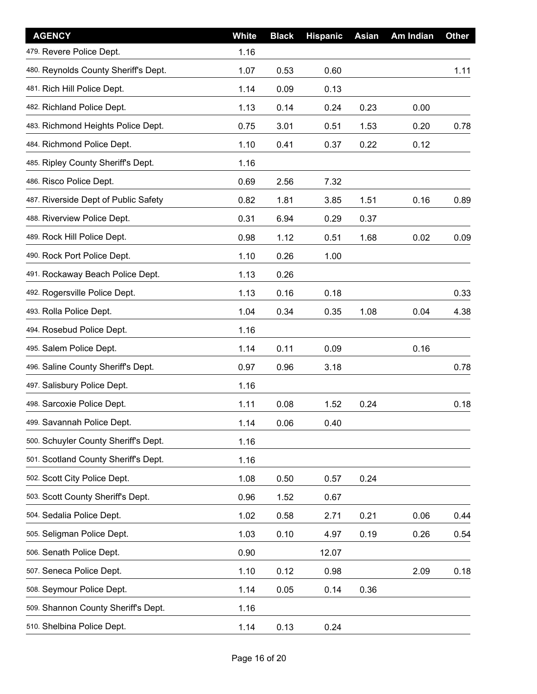| <b>AGENCY</b>                        | <b>White</b> | <b>Black</b> | <b>Hispanic</b> | <b>Asian</b> | Am Indian | <b>Other</b> |
|--------------------------------------|--------------|--------------|-----------------|--------------|-----------|--------------|
| 479. Revere Police Dept.             | 1.16         |              |                 |              |           |              |
| 480. Reynolds County Sheriff's Dept. | 1.07         | 0.53         | 0.60            |              |           | 1.11         |
| 481. Rich Hill Police Dept.          | 1.14         | 0.09         | 0.13            |              |           |              |
| 482. Richland Police Dept.           | 1.13         | 0.14         | 0.24            | 0.23         | 0.00      |              |
| 483. Richmond Heights Police Dept.   | 0.75         | 3.01         | 0.51            | 1.53         | 0.20      | 0.78         |
| 484. Richmond Police Dept.           | 1.10         | 0.41         | 0.37            | 0.22         | 0.12      |              |
| 485. Ripley County Sheriff's Dept.   | 1.16         |              |                 |              |           |              |
| 486. Risco Police Dept.              | 0.69         | 2.56         | 7.32            |              |           |              |
| 487. Riverside Dept of Public Safety | 0.82         | 1.81         | 3.85            | 1.51         | 0.16      | 0.89         |
| 488. Riverview Police Dept.          | 0.31         | 6.94         | 0.29            | 0.37         |           |              |
| 489. Rock Hill Police Dept.          | 0.98         | 1.12         | 0.51            | 1.68         | 0.02      | 0.09         |
| 490. Rock Port Police Dept.          | 1.10         | 0.26         | 1.00            |              |           |              |
| 491. Rockaway Beach Police Dept.     | 1.13         | 0.26         |                 |              |           |              |
| 492. Rogersville Police Dept.        | 1.13         | 0.16         | 0.18            |              |           | 0.33         |
| 493. Rolla Police Dept.              | 1.04         | 0.34         | 0.35            | 1.08         | 0.04      | 4.38         |
| 494. Rosebud Police Dept.            | 1.16         |              |                 |              |           |              |
| 495. Salem Police Dept.              | 1.14         | 0.11         | 0.09            |              | 0.16      |              |
| 496. Saline County Sheriff's Dept.   | 0.97         | 0.96         | 3.18            |              |           | 0.78         |
| 497. Salisbury Police Dept.          | 1.16         |              |                 |              |           |              |
| 498. Sarcoxie Police Dept.           | 1.11         | 0.08         | 1.52            | 0.24         |           | 0.18         |
| 499. Savannah Police Dept.           | 1.14         | 0.06         | 0.40            |              |           |              |
| 500. Schuyler County Sheriff's Dept. | 1.16         |              |                 |              |           |              |
| 501. Scotland County Sheriff's Dept. | 1.16         |              |                 |              |           |              |
| 502. Scott City Police Dept.         | 1.08         | 0.50         | 0.57            | 0.24         |           |              |
| 503. Scott County Sheriff's Dept.    | 0.96         | 1.52         | 0.67            |              |           |              |
| 504. Sedalia Police Dept.            | 1.02         | 0.58         | 2.71            | 0.21         | 0.06      | 0.44         |
| 505. Seligman Police Dept.           | 1.03         | 0.10         | 4.97            | 0.19         | 0.26      | 0.54         |
| 506. Senath Police Dept.             | 0.90         |              | 12.07           |              |           |              |
| 507. Seneca Police Dept.             | 1.10         | 0.12         | 0.98            |              | 2.09      | 0.18         |
| 508. Seymour Police Dept.            | 1.14         | 0.05         | 0.14            | 0.36         |           |              |
| 509. Shannon County Sheriff's Dept.  | 1.16         |              |                 |              |           |              |
| 510. Shelbina Police Dept.           | 1.14         | 0.13         | 0.24            |              |           |              |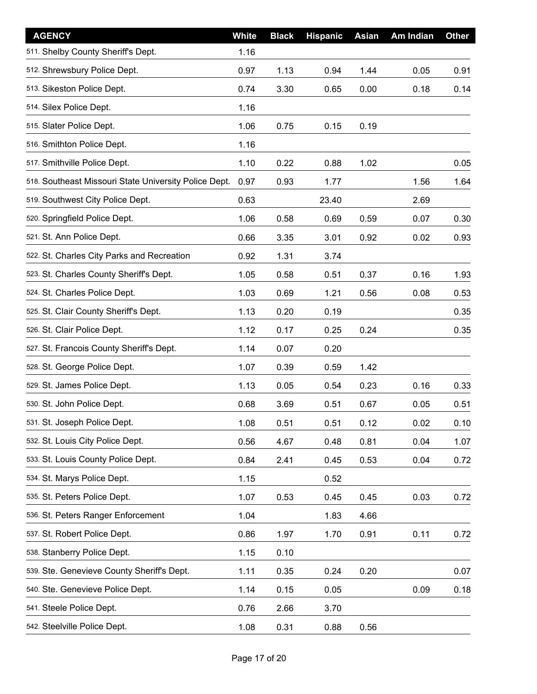| <b>AGENCY</b>                                         | White | <b>Black</b> | <b>Hispanic</b> | <b>Asian</b> | Am Indian | <b>Other</b> |
|-------------------------------------------------------|-------|--------------|-----------------|--------------|-----------|--------------|
| 511. Shelby County Sheriff's Dept.                    | 1.16  |              |                 |              |           |              |
| 512. Shrewsbury Police Dept.                          | 0.97  | 1.13         | 0.94            | 1.44         | 0.05      | 0.91         |
| 513. Sikeston Police Dept.                            | 0.74  | 3.30         | 0.65            | 0.00         | 0.18      | 0.14         |
| 514. Silex Police Dept.                               | 1.16  |              |                 |              |           |              |
| 515. Slater Police Dept.                              | 1.06  | 0.75         | 0.15            | 0.19         |           |              |
| 516. Smithton Police Dept.                            | 1.16  |              |                 |              |           |              |
| 517. Smithville Police Dept.                          | 1.10  | 0.22         | 0.88            | 1.02         |           | 0.05         |
| 518. Southeast Missouri State University Police Dept. | 0.97  | 0.93         | 1.77            |              | 1.56      | 1.64         |
| 519. Southwest City Police Dept.                      | 0.63  |              | 23.40           |              | 2.69      |              |
| 520. Springfield Police Dept.                         | 1.06  | 0.58         | 0.69            | 0.59         | 0.07      | 0.30         |
| 521. St. Ann Police Dept.                             | 0.66  | 3.35         | 3.01            | 0.92         | 0.02      | 0.93         |
| 522. St. Charles City Parks and Recreation            | 0.92  | 1.31         | 3.74            |              |           |              |
| 523. St. Charles County Sheriff's Dept.               | 1.05  | 0.58         | 0.51            | 0.37         | 0.16      | 1.93         |
| 524. St. Charles Police Dept.                         | 1.03  | 0.69         | 1.21            | 0.56         | 0.08      | 0.53         |
| 525. St. Clair County Sheriff's Dept.                 | 1.13  | 0.20         | 0.19            |              |           | 0.35         |
| 526. St. Clair Police Dept.                           | 1.12  | 0.17         | 0.25            | 0.24         |           | 0.35         |
| 527. St. Francois County Sheriff's Dept.              | 1.14  | 0.07         | 0.20            |              |           |              |
| 528. St. George Police Dept.                          | 1.07  | 0.39         | 0.59            | 1.42         |           |              |
| 529. St. James Police Dept.                           | 1.13  | 0.05         | 0.54            | 0.23         | 0.16      | 0.33         |
| 530. St. John Police Dept.                            | 0.68  | 3.69         | 0.51            | 0.67         | 0.05      | 0.51         |
| 531. St. Joseph Police Dept.                          | 1.08  | 0.51         | 0.51            | 0.12         | 0.02      | 0.10         |
| 532. St. Louis City Police Dept.                      | 0.56  | 4.67         | 0.48            | 0.81         | 0.04      | 1.07         |
| 533. St. Louis County Police Dept.                    | 0.84  | 2.41         | 0.45            | 0.53         | 0.04      | 0.72         |
| 534. St. Marys Police Dept.                           | 1.15  |              | 0.52            |              |           |              |
| 535. St. Peters Police Dept.                          | 1.07  | 0.53         | 0.45            | 0.45         | 0.03      | 0.72         |
| 536. St. Peters Ranger Enforcement                    | 1.04  |              | 1.83            | 4.66         |           |              |
| 537. St. Robert Police Dept.                          | 0.86  | 1.97         | 1.70            | 0.91         | 0.11      | 0.72         |
| 538. Stanberry Police Dept.                           | 1.15  | 0.10         |                 |              |           |              |
| 539. Ste. Genevieve County Sheriff's Dept.            | 1.11  | 0.35         | 0.24            | 0.20         |           | 0.07         |
| 540. Ste. Genevieve Police Dept.                      | 1.14  | 0.15         | 0.05            |              | 0.09      | 0.18         |
| 541. Steele Police Dept.                              | 0.76  | 2.66         | 3.70            |              |           |              |
| 542. Steelville Police Dept.                          | 1.08  | 0.31         | 0.88            | 0.56         |           |              |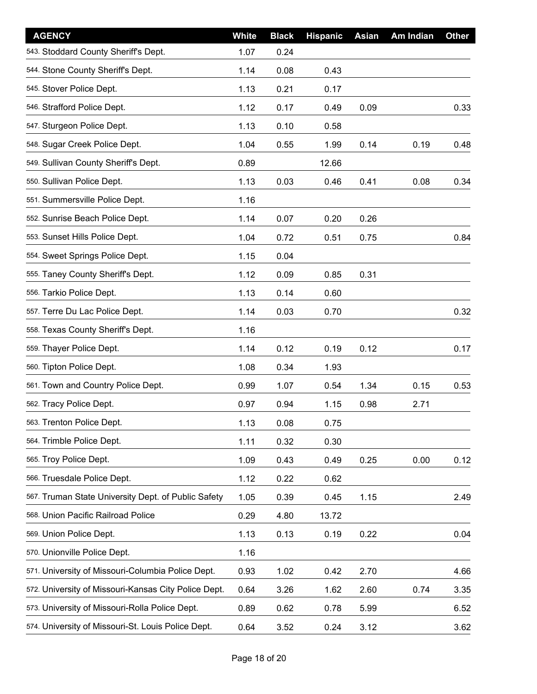| <b>AGENCY</b>                                        | White | <b>Black</b> | <b>Hispanic</b> | <b>Asian</b> | Am Indian | <b>Other</b> |
|------------------------------------------------------|-------|--------------|-----------------|--------------|-----------|--------------|
| 543. Stoddard County Sheriff's Dept.                 | 1.07  | 0.24         |                 |              |           |              |
| 544. Stone County Sheriff's Dept.                    | 1.14  | 0.08         | 0.43            |              |           |              |
| 545. Stover Police Dept.                             | 1.13  | 0.21         | 0.17            |              |           |              |
| 546. Strafford Police Dept.                          | 1.12  | 0.17         | 0.49            | 0.09         |           | 0.33         |
| 547. Sturgeon Police Dept.                           | 1.13  | 0.10         | 0.58            |              |           |              |
| 548. Sugar Creek Police Dept.                        | 1.04  | 0.55         | 1.99            | 0.14         | 0.19      | 0.48         |
| 549. Sullivan County Sheriff's Dept.                 | 0.89  |              | 12.66           |              |           |              |
| 550. Sullivan Police Dept.                           | 1.13  | 0.03         | 0.46            | 0.41         | 0.08      | 0.34         |
| 551. Summersville Police Dept.                       | 1.16  |              |                 |              |           |              |
| 552. Sunrise Beach Police Dept.                      | 1.14  | 0.07         | 0.20            | 0.26         |           |              |
| 553. Sunset Hills Police Dept.                       | 1.04  | 0.72         | 0.51            | 0.75         |           | 0.84         |
| 554. Sweet Springs Police Dept.                      | 1.15  | 0.04         |                 |              |           |              |
| 555. Taney County Sheriff's Dept.                    | 1.12  | 0.09         | 0.85            | 0.31         |           |              |
| 556. Tarkio Police Dept.                             | 1.13  | 0.14         | 0.60            |              |           |              |
| 557. Terre Du Lac Police Dept.                       | 1.14  | 0.03         | 0.70            |              |           | 0.32         |
| 558. Texas County Sheriff's Dept.                    | 1.16  |              |                 |              |           |              |
| 559. Thayer Police Dept.                             | 1.14  | 0.12         | 0.19            | 0.12         |           | 0.17         |
| 560. Tipton Police Dept.                             | 1.08  | 0.34         | 1.93            |              |           |              |
| 561. Town and Country Police Dept.                   | 0.99  | 1.07         | 0.54            | 1.34         | 0.15      | 0.53         |
| 562. Tracy Police Dept.                              | 0.97  | 0.94         | 1.15            | 0.98         | 2.71      |              |
| 563. Trenton Police Dept.                            | 1.13  | 0.08         | 0.75            |              |           |              |
| 564. Trimble Police Dept.                            | 1.11  | 0.32         | 0.30            |              |           |              |
| 565. Troy Police Dept.                               | 1.09  | 0.43         | 0.49            | 0.25         | 0.00      | 0.12         |
| 566. Truesdale Police Dept.                          | 1.12  | 0.22         | 0.62            |              |           |              |
| 567. Truman State University Dept. of Public Safety  | 1.05  | 0.39         | 0.45            | 1.15         |           | 2.49         |
| 568. Union Pacific Railroad Police                   | 0.29  | 4.80         | 13.72           |              |           |              |
| 569. Union Police Dept.                              | 1.13  | 0.13         | 0.19            | 0.22         |           | 0.04         |
| 570. Unionville Police Dept.                         | 1.16  |              |                 |              |           |              |
| 571. University of Missouri-Columbia Police Dept.    | 0.93  | 1.02         | 0.42            | 2.70         |           | 4.66         |
| 572. University of Missouri-Kansas City Police Dept. | 0.64  | 3.26         | 1.62            | 2.60         | 0.74      | 3.35         |
| 573. University of Missouri-Rolla Police Dept.       | 0.89  | 0.62         | 0.78            | 5.99         |           | 6.52         |
| 574. University of Missouri-St. Louis Police Dept.   | 0.64  | 3.52         | 0.24            | 3.12         |           | 3.62         |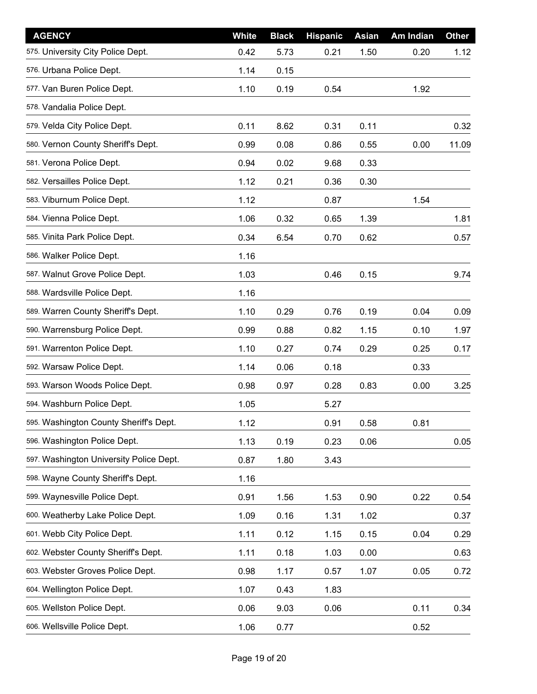| <b>AGENCY</b>                           | <b>White</b> | <b>Black</b> | <b>Hispanic</b> | <b>Asian</b> | Am Indian | <b>Other</b> |
|-----------------------------------------|--------------|--------------|-----------------|--------------|-----------|--------------|
| 575. University City Police Dept.       | 0.42         | 5.73         | 0.21            | 1.50         | 0.20      | 1.12         |
| 576. Urbana Police Dept.                | 1.14         | 0.15         |                 |              |           |              |
| 577. Van Buren Police Dept.             | 1.10         | 0.19         | 0.54            |              | 1.92      |              |
| 578. Vandalia Police Dept.              |              |              |                 |              |           |              |
| 579. Velda City Police Dept.            | 0.11         | 8.62         | 0.31            | 0.11         |           | 0.32         |
| 580. Vernon County Sheriff's Dept.      | 0.99         | 0.08         | 0.86            | 0.55         | 0.00      | 11.09        |
| 581. Verona Police Dept.                | 0.94         | 0.02         | 9.68            | 0.33         |           |              |
| 582. Versailles Police Dept.            | 1.12         | 0.21         | 0.36            | 0.30         |           |              |
| 583. Viburnum Police Dept.              | 1.12         |              | 0.87            |              | 1.54      |              |
| 584. Vienna Police Dept.                | 1.06         | 0.32         | 0.65            | 1.39         |           | 1.81         |
| 585. Vinita Park Police Dept.           | 0.34         | 6.54         | 0.70            | 0.62         |           | 0.57         |
| 586. Walker Police Dept.                | 1.16         |              |                 |              |           |              |
| 587. Walnut Grove Police Dept.          | 1.03         |              | 0.46            | 0.15         |           | 9.74         |
| 588. Wardsville Police Dept.            | 1.16         |              |                 |              |           |              |
| 589. Warren County Sheriff's Dept.      | 1.10         | 0.29         | 0.76            | 0.19         | 0.04      | 0.09         |
| 590. Warrensburg Police Dept.           | 0.99         | 0.88         | 0.82            | 1.15         | 0.10      | 1.97         |
| 591. Warrenton Police Dept.             | 1.10         | 0.27         | 0.74            | 0.29         | 0.25      | 0.17         |
| 592. Warsaw Police Dept.                | 1.14         | 0.06         | 0.18            |              | 0.33      |              |
| 593. Warson Woods Police Dept.          | 0.98         | 0.97         | 0.28            | 0.83         | 0.00      | 3.25         |
| 594. Washburn Police Dept.              | 1.05         |              | 5.27            |              |           |              |
| 595. Washington County Sheriff's Dept.  | 1.12         |              | 0.91            | 0.58         | 0.81      |              |
| 596. Washington Police Dept.            | 1.13         | 0.19         | 0.23            | 0.06         |           | 0.05         |
| 597. Washington University Police Dept. | 0.87         | 1.80         | 3.43            |              |           |              |
| 598. Wayne County Sheriff's Dept.       | 1.16         |              |                 |              |           |              |
| 599. Waynesville Police Dept.           | 0.91         | 1.56         | 1.53            | 0.90         | 0.22      | 0.54         |
| 600. Weatherby Lake Police Dept.        | 1.09         | 0.16         | 1.31            | 1.02         |           | 0.37         |
| 601. Webb City Police Dept.             | 1.11         | 0.12         | 1.15            | 0.15         | 0.04      | 0.29         |
| 602. Webster County Sheriff's Dept.     | 1.11         | 0.18         | 1.03            | 0.00         |           | 0.63         |
| 603. Webster Groves Police Dept.        | 0.98         | 1.17         | 0.57            | 1.07         | 0.05      | 0.72         |
| 604. Wellington Police Dept.            | 1.07         | 0.43         | 1.83            |              |           |              |
| 605. Wellston Police Dept.              | 0.06         | 9.03         | 0.06            |              | 0.11      | 0.34         |
| 606. Wellsville Police Dept.            | 1.06         | 0.77         |                 |              | 0.52      |              |